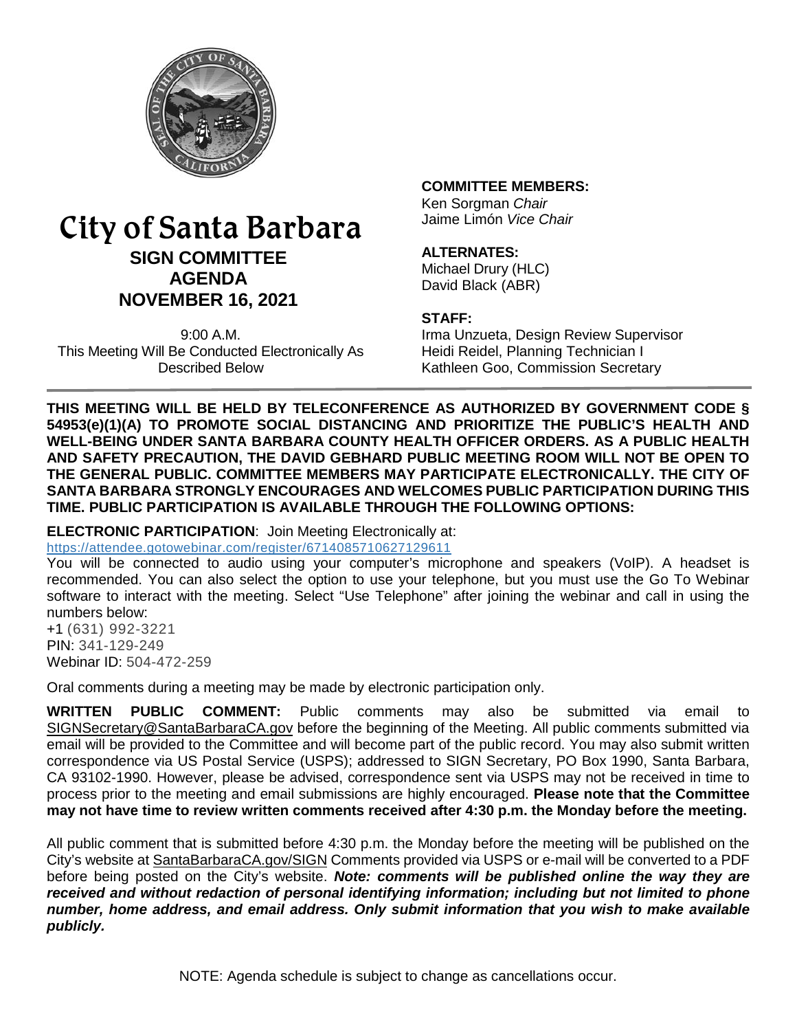

# City of Santa Barbara **SIGN COMMITTEE AGENDA NOVEMBER 16, 2021**

9:00 A.M. This Meeting Will Be Conducted Electronically As Described Below

#### **COMMITTEE MEMBERS:**

Ken Sorgman *Chair* Jaime Limón *Vice Chair*

#### **ALTERNATES:**

Michael Drury (HLC) David Black (ABR)

#### **STAFF:**

Irma Unzueta, Design Review Supervisor Heidi Reidel, Planning Technician I Kathleen Goo, Commission Secretary

**THIS MEETING WILL BE HELD BY TELECONFERENCE AS AUTHORIZED BY GOVERNMENT CODE § 54953(e)(1)(A) TO PROMOTE SOCIAL DISTANCING AND PRIORITIZE THE PUBLIC'S HEALTH AND WELL-BEING UNDER SANTA BARBARA COUNTY HEALTH OFFICER ORDERS. AS A PUBLIC HEALTH AND SAFETY PRECAUTION, THE DAVID GEBHARD PUBLIC MEETING ROOM WILL NOT BE OPEN TO THE GENERAL PUBLIC. COMMITTEE MEMBERS MAY PARTICIPATE ELECTRONICALLY. THE CITY OF SANTA BARBARA STRONGLY ENCOURAGES AND WELCOMES PUBLIC PARTICIPATION DURING THIS TIME. PUBLIC PARTICIPATION IS AVAILABLE THROUGH THE FOLLOWING OPTIONS:**

**ELECTRONIC PARTICIPATION**: Join Meeting Electronically at:

<https://attendee.gotowebinar.com/register/6714085710627129611>

You will be connected to audio using your computer's microphone and speakers (VoIP). A headset is recommended. You can also select the option to use your telephone, but you must use the Go To Webinar software to interact with the meeting. Select "Use Telephone" after joining the webinar and call in using the numbers below:

+1 (631) 992-3221 PIN: 341-129-249 Webinar ID: 504-472-259

Oral comments during a meeting may be made by electronic participation only.

**WRITTEN PUBLIC COMMENT:** Public comments may also be submitted via email to [SIGNSecretary@SantaBarbaraCA.gov](mailto:SIGNSecretary@SantaBarbaraCA.gov) before the beginning of the Meeting. All public comments submitted via email will be provided to the Committee and will become part of the public record. You may also submit written correspondence via US Postal Service (USPS); addressed to SIGN Secretary, PO Box 1990, Santa Barbara, CA 93102-1990. However, please be advised, correspondence sent via USPS may not be received in time to process prior to the meeting and email submissions are highly encouraged. **Please note that the Committee may not have time to review written comments received after 4:30 p.m. the Monday before the meeting.**

All public comment that is submitted before 4:30 p.m. the Monday before the meeting will be published on the City's website at [SantaBarbaraCA.gov/SIGN](http://www.santabarbaraca.gov/SIGN) Comments provided via USPS or e-mail will be converted to a PDF before being posted on the City's website. *Note: comments will be published online the way they are received and without redaction of personal identifying information; including but not limited to phone number, home address, and email address. Only submit information that you wish to make available publicly.*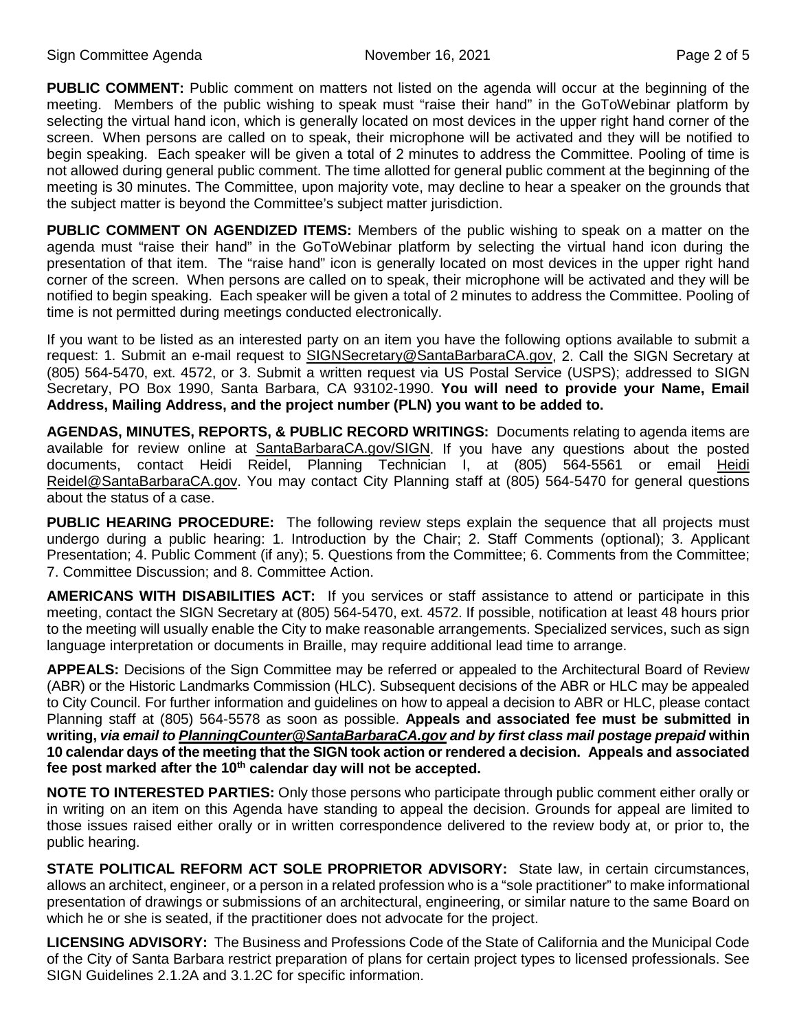**PUBLIC COMMENT:** Public comment on matters not listed on the agenda will occur at the beginning of the meeting. Members of the public wishing to speak must "raise their hand" in the GoToWebinar platform by selecting the virtual hand icon, which is generally located on most devices in the upper right hand corner of the screen. When persons are called on to speak, their microphone will be activated and they will be notified to begin speaking. Each speaker will be given a total of 2 minutes to address the Committee. Pooling of time is not allowed during general public comment. The time allotted for general public comment at the beginning of the meeting is 30 minutes. The Committee, upon majority vote, may decline to hear a speaker on the grounds that the subject matter is beyond the Committee's subject matter jurisdiction.

**PUBLIC COMMENT ON AGENDIZED ITEMS:** Members of the public wishing to speak on a matter on the agenda must "raise their hand" in the GoToWebinar platform by selecting the virtual hand icon during the presentation of that item. The "raise hand" icon is generally located on most devices in the upper right hand corner of the screen. When persons are called on to speak, their microphone will be activated and they will be notified to begin speaking. Each speaker will be given a total of 2 minutes to address the Committee. Pooling of time is not permitted during meetings conducted electronically.

If you want to be listed as an interested party on an item you have the following options available to submit a request: 1. Submit an e-mail request to [SIGNSecretary@SantaBarbaraCA.gov,](mailto:SIGNSecretary@SantaBarbaraCA.gov) 2. Call the SIGN Secretary at (805) 564-5470, ext. 4572, or 3. Submit a written request via US Postal Service (USPS); addressed to SIGN Secretary, PO Box 1990, Santa Barbara, CA 93102-1990. **You will need to provide your Name, Email Address, Mailing Address, and the project number (PLN) you want to be added to.**

**AGENDAS, MINUTES, REPORTS, & PUBLIC RECORD WRITINGS:** Documents relating to agenda items are available for review online at [SantaBarbaraCA.gov/SIGN.](http://www.santabarbaraca.gov/SIGN) If you have any questions about the posted documents, contact Heidi Reidel, Planning Technician I, at (805) 564-5561 or email [Heidi](mailto:WRussell@SantaBarbaraCA.gov)  [Reidel@SantaBarbaraCA.gov.](mailto:WRussell@SantaBarbaraCA.gov) You may contact City Planning staff at (805) 564-5470 for general questions about the status of a case.

**PUBLIC HEARING PROCEDURE:** The following review steps explain the sequence that all projects must undergo during a public hearing: 1. Introduction by the Chair; 2. Staff Comments (optional); 3. Applicant Presentation; 4. Public Comment (if any); 5. Questions from the Committee; 6. Comments from the Committee; 7. Committee Discussion; and 8. Committee Action.

**AMERICANS WITH DISABILITIES ACT:** If you services or staff assistance to attend or participate in this meeting, contact the SIGN Secretary at (805) 564-5470, ext. 4572. If possible, notification at least 48 hours prior to the meeting will usually enable the City to make reasonable arrangements. Specialized services, such as sign language interpretation or documents in Braille, may require additional lead time to arrange.

**APPEALS:** Decisions of the Sign Committee may be referred or appealed to the Architectural Board of Review (ABR) or the Historic Landmarks Commission (HLC). Subsequent decisions of the ABR or HLC may be appealed to City Council. For further information and guidelines on how to appeal a decision to ABR or HLC, please contact Planning staff at (805) 564-5578 as soon as possible. **Appeals and associated fee must be submitted in writing,** *via email t[o PlanningCounter@SantaBarbaraCA.gov](mailto:PlanningCounter@SantaBarbaraCA.gov) and by first class mail postage prepaid* **within 10 calendar days of the meeting that the SIGN took action or rendered a decision. Appeals and associated fee post marked after the 10th calendar day will not be accepted.** 

**NOTE TO INTERESTED PARTIES:** Only those persons who participate through public comment either orally or in writing on an item on this Agenda have standing to appeal the decision. Grounds for appeal are limited to those issues raised either orally or in written correspondence delivered to the review body at, or prior to, the public hearing.

**STATE POLITICAL REFORM ACT SOLE PROPRIETOR ADVISORY:** State law, in certain circumstances, allows an architect, engineer, or a person in a related profession who is a "sole practitioner" to make informational presentation of drawings or submissions of an architectural, engineering, or similar nature to the same Board on which he or she is seated, if the practitioner does not advocate for the project.

**LICENSING ADVISORY:** The Business and Professions Code of the State of California and the Municipal Code of the City of Santa Barbara restrict preparation of plans for certain project types to licensed professionals. See SIGN Guidelines 2.1.2A and 3.1.2C for specific information.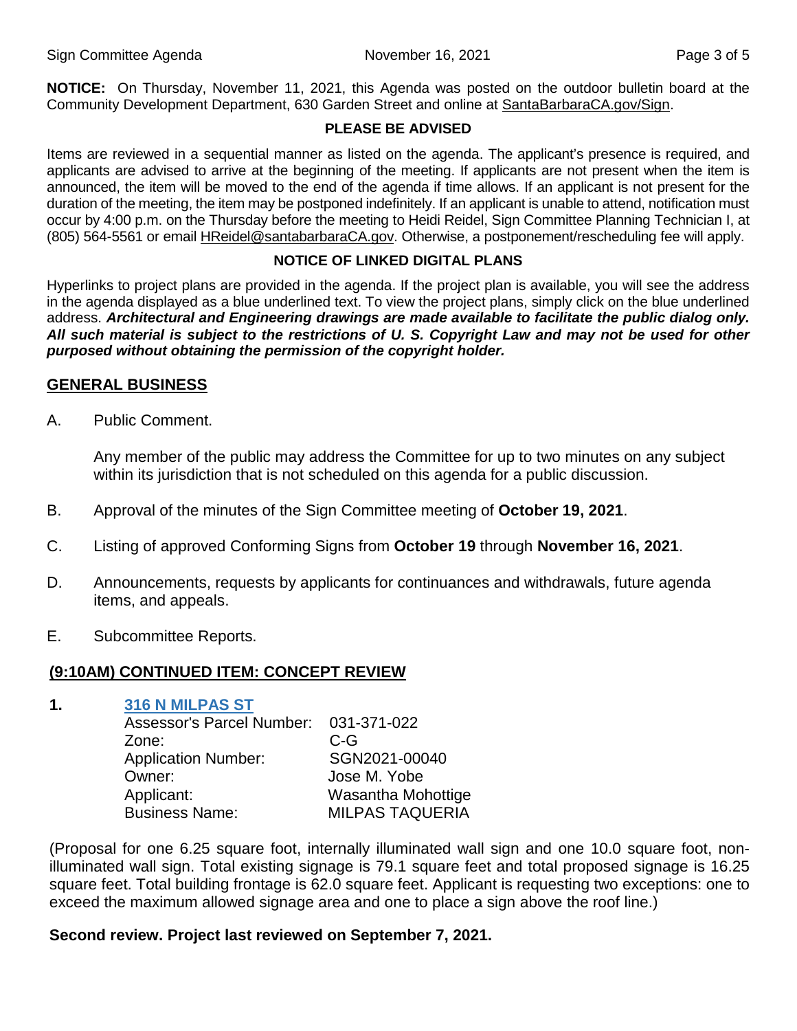**NOTICE:** On Thursday, November 11, 2021, this Agenda was posted on the outdoor bulletin board at the Community Development Department, 630 Garden Street and online at [SantaBarbaraCA.gov/Sign.](http://www.santabarbaraca.gov/Sign)

#### **PLEASE BE ADVISED**

Items are reviewed in a sequential manner as listed on the agenda. The applicant's presence is required, and applicants are advised to arrive at the beginning of the meeting. If applicants are not present when the item is announced, the item will be moved to the end of the agenda if time allows. If an applicant is not present for the duration of the meeting, the item may be postponed indefinitely. If an applicant is unable to attend, notification must occur by 4:00 p.m. on the Thursday before the meeting to Heidi Reidel, Sign Committee Planning Technician I, at (805) 564-5561 or email [HReidel@santabarbaraCA.gov.](mailto:HReidel@santabarbaraCA.gov) Otherwise, a postponement/rescheduling fee will apply.

## **NOTICE OF LINKED DIGITAL PLANS**

Hyperlinks to project plans are provided in the agenda. If the project plan is available, you will see the address in the agenda displayed as a blue underlined text. To view the project plans, simply click on the blue underlined address. *Architectural and Engineering drawings are made available to facilitate the public dialog only. All such material is subject to the restrictions of U. S. Copyright Law and may not be used for other purposed without obtaining the permission of the copyright holder.*

#### **GENERAL BUSINESS**

A. Public Comment.

Any member of the public may address the Committee for up to two minutes on any subject within its jurisdiction that is not scheduled on this agenda for a public discussion.

- B. Approval of the minutes of the Sign Committee meeting of **October 19, 2021**.
- C. Listing of approved Conforming Signs from **October 19** through **November 16, 2021**.
- D. Announcements, requests by applicants for continuances and withdrawals, future agenda items, and appeals.
- E. Subcommittee Reports.

## **(9:10AM) CONTINUED ITEM: CONCEPT REVIEW**

#### **1. [316 N MILPAS ST](https://www.santabarbaraca.gov/civicax/filebank/blobdload.aspx?BlobID=241098)**

| Assessor's Parcel Number: 031-371-022 |
|---------------------------------------|
| $C-G$                                 |
| SGN2021-00040                         |
| Jose M. Yobe                          |
| Wasantha Mohottige                    |
| <b>MILPAS TAQUERIA</b>                |
|                                       |

(Proposal for one 6.25 square foot, internally illuminated wall sign and one 10.0 square foot, nonilluminated wall sign. Total existing signage is 79.1 square feet and total proposed signage is 16.25 square feet. Total building frontage is 62.0 square feet. Applicant is requesting two exceptions: one to exceed the maximum allowed signage area and one to place a sign above the roof line.)

#### **Second review. Project last reviewed on September 7, 2021.**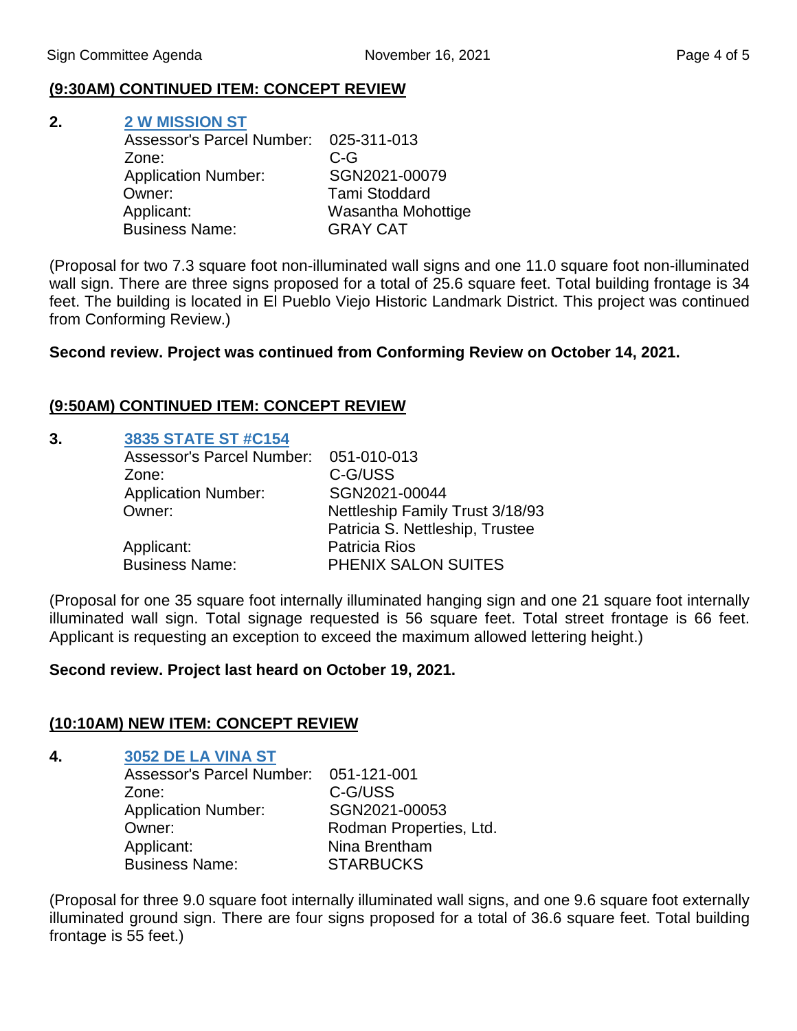## **(9:30AM) CONTINUED ITEM: CONCEPT REVIEW**

## **2. [2 W MISSION ST](https://www.santabarbaraca.gov/civicax/filebank/blobdload.aspx?BlobID=241099)**

| Assessor's Parcel Number: 025-311-013 |                      |
|---------------------------------------|----------------------|
| Zone:                                 | $C-G$                |
| <b>Application Number:</b>            | SGN2021-00079        |
| Owner:                                | <b>Tami Stoddard</b> |
| Applicant:                            | Wasantha Mohottige   |
| <b>Business Name:</b>                 | <b>GRAY CAT</b>      |

(Proposal for two 7.3 square foot non-illuminated wall signs and one 11.0 square foot non-illuminated wall sign. There are three signs proposed for a total of 25.6 square feet. Total building frontage is 34 feet. The building is located in El Pueblo Viejo Historic Landmark District. This project was continued from Conforming Review.)

## **Second review. Project was continued from Conforming Review on October 14, 2021.**

## **(9:50AM) CONTINUED ITEM: CONCEPT REVIEW**

## **3. [3835 STATE ST #C154](https://www.santabarbaraca.gov/civicax/filebank/blobdload.aspx?BlobID=241100)**

| Assessor's Parcel Number:  | 051-010-013                     |
|----------------------------|---------------------------------|
| Zone:                      | C-G/USS                         |
| <b>Application Number:</b> | SGN2021-00044                   |
| Owner:                     | Nettleship Family Trust 3/18/93 |
|                            | Patricia S. Nettleship, Trustee |
| Applicant:                 | <b>Patricia Rios</b>            |
| <b>Business Name:</b>      | PHENIX SALON SUITES             |

(Proposal for one 35 square foot internally illuminated hanging sign and one 21 square foot internally illuminated wall sign. Total signage requested is 56 square feet. Total street frontage is 66 feet. Applicant is requesting an exception to exceed the maximum allowed lettering height.)

## **Second review. Project last heard on October 19, 2021.**

## **(10:10AM) NEW ITEM: CONCEPT REVIEW**

#### **4. [3052 DE LA VINA ST](https://www.santabarbaraca.gov/civicax/filebank/blobdload.aspx?BlobID=241101)**

| Assessor's Parcel Number: 051-121-001 |                         |
|---------------------------------------|-------------------------|
| Zone:                                 | C-G/USS                 |
| <b>Application Number:</b>            | SGN2021-00053           |
| Owner:                                | Rodman Properties, Ltd. |
| Applicant:                            | Nina Brentham           |
| <b>Business Name:</b>                 | <b>STARBUCKS</b>        |

(Proposal for three 9.0 square foot internally illuminated wall signs, and one 9.6 square foot externally illuminated ground sign. There are four signs proposed for a total of 36.6 square feet. Total building frontage is 55 feet.)